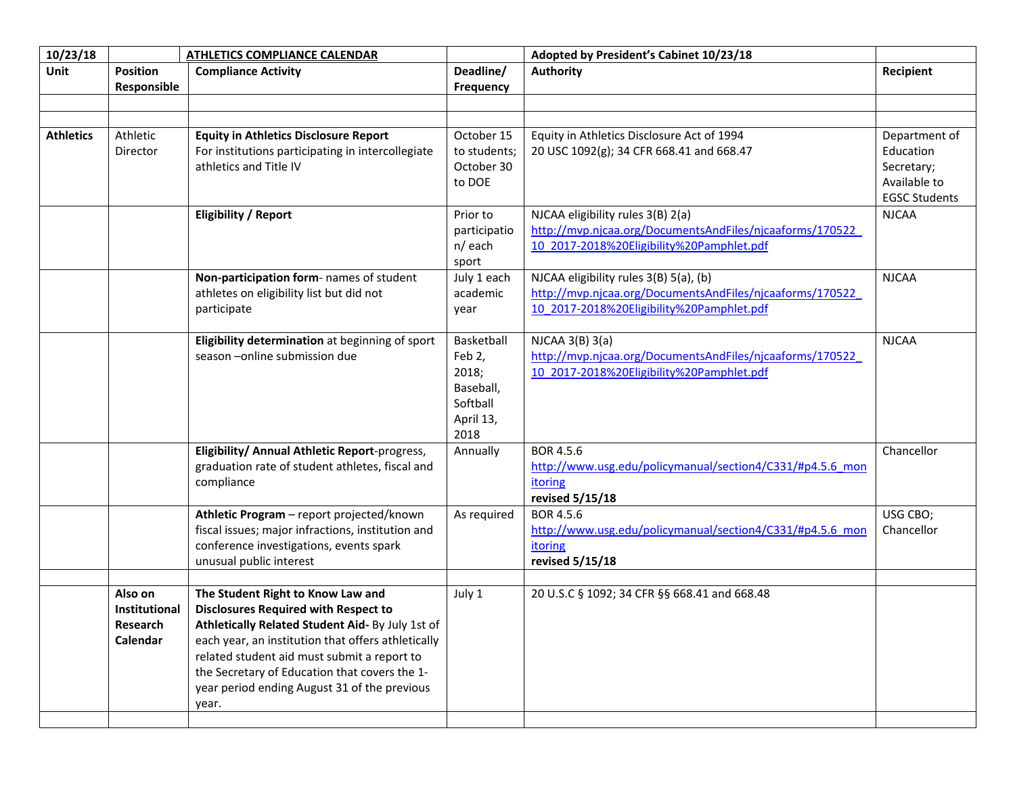| 10/23/18         |                                                  | <b>ATHLETICS COMPLIANCE CALENDAR</b>                                                                                                                                                                                                                                                                                                                |                                                                             | Adopted by President's Cabinet 10/23/18                                                                                                         |                                          |
|------------------|--------------------------------------------------|-----------------------------------------------------------------------------------------------------------------------------------------------------------------------------------------------------------------------------------------------------------------------------------------------------------------------------------------------------|-----------------------------------------------------------------------------|-------------------------------------------------------------------------------------------------------------------------------------------------|------------------------------------------|
| Unit             | <b>Position</b><br>Responsible                   | <b>Compliance Activity</b>                                                                                                                                                                                                                                                                                                                          | Deadline/<br>Frequency                                                      | <b>Authority</b>                                                                                                                                | Recipient                                |
| <b>Athletics</b> | Athletic<br>Director                             | <b>Equity in Athletics Disclosure Report</b><br>For institutions participating in intercollegiate<br>athletics and Title IV                                                                                                                                                                                                                         | October 15<br>to students;<br>October 30                                    | Equity in Athletics Disclosure Act of 1994<br>20 USC 1092(g); 34 CFR 668.41 and 668.47                                                          | Department of<br>Education<br>Secretary; |
|                  |                                                  |                                                                                                                                                                                                                                                                                                                                                     | to DOE                                                                      |                                                                                                                                                 | Available to<br><b>EGSC Students</b>     |
|                  |                                                  | <b>Eligibility / Report</b>                                                                                                                                                                                                                                                                                                                         | Prior to<br>participatio<br>n/each<br>sport                                 | NJCAA eligibility rules 3(B) 2(a)<br>http://mvp.njcaa.org/DocumentsAndFiles/njcaaforms/170522<br>10 2017-2018%20Eligibility%20Pamphlet.pdf      | <b>NJCAA</b>                             |
|                  |                                                  | Non-participation form- names of student<br>athletes on eligibility list but did not<br>participate                                                                                                                                                                                                                                                 | July 1 each<br>academic<br>year                                             | NJCAA eligibility rules 3(B) 5(a), (b)<br>http://mvp.njcaa.org/DocumentsAndFiles/njcaaforms/170522<br>10 2017-2018%20Eligibility%20Pamphlet.pdf | <b>NJCAA</b>                             |
|                  |                                                  | Eligibility determination at beginning of sport<br>season - online submission due                                                                                                                                                                                                                                                                   | Basketball<br>Feb 2,<br>2018;<br>Baseball,<br>Softball<br>April 13,<br>2018 | $NJCAA$ 3(B) 3(a)<br>http://mvp.njcaa.org/DocumentsAndFiles/njcaaforms/170522<br>10 2017-2018%20Eligibility%20Pamphlet.pdf                      | <b>NJCAA</b>                             |
|                  |                                                  | Eligibility/ Annual Athletic Report-progress,<br>graduation rate of student athletes, fiscal and<br>compliance                                                                                                                                                                                                                                      | Annually                                                                    | BOR 4.5.6<br>http://www.usg.edu/policymanual/section4/C331/#p4.5.6 mon<br>itoring<br>revised 5/15/18                                            | Chancellor                               |
|                  |                                                  | Athletic Program - report projected/known<br>fiscal issues; major infractions, institution and<br>conference investigations, events spark<br>unusual public interest                                                                                                                                                                                | As required                                                                 | BOR 4.5.6<br>http://www.usg.edu/policymanual/section4/C331/#p4.5.6 mon<br>itoring<br>revised 5/15/18                                            | USG CBO;<br>Chancellor                   |
|                  | Also on<br>Institutional<br>Research<br>Calendar | The Student Right to Know Law and<br><b>Disclosures Required with Respect to</b><br>Athletically Related Student Aid- By July 1st of<br>each year, an institution that offers athletically<br>related student aid must submit a report to<br>the Secretary of Education that covers the 1-<br>year period ending August 31 of the previous<br>year. | July 1                                                                      | 20 U.S.C § 1092; 34 CFR §§ 668.41 and 668.48                                                                                                    |                                          |